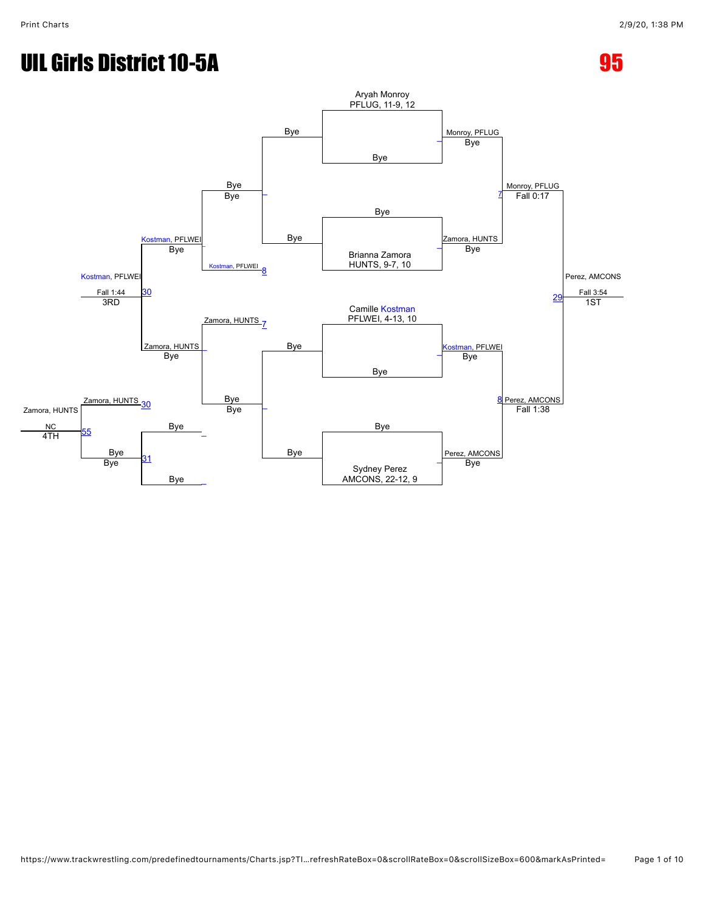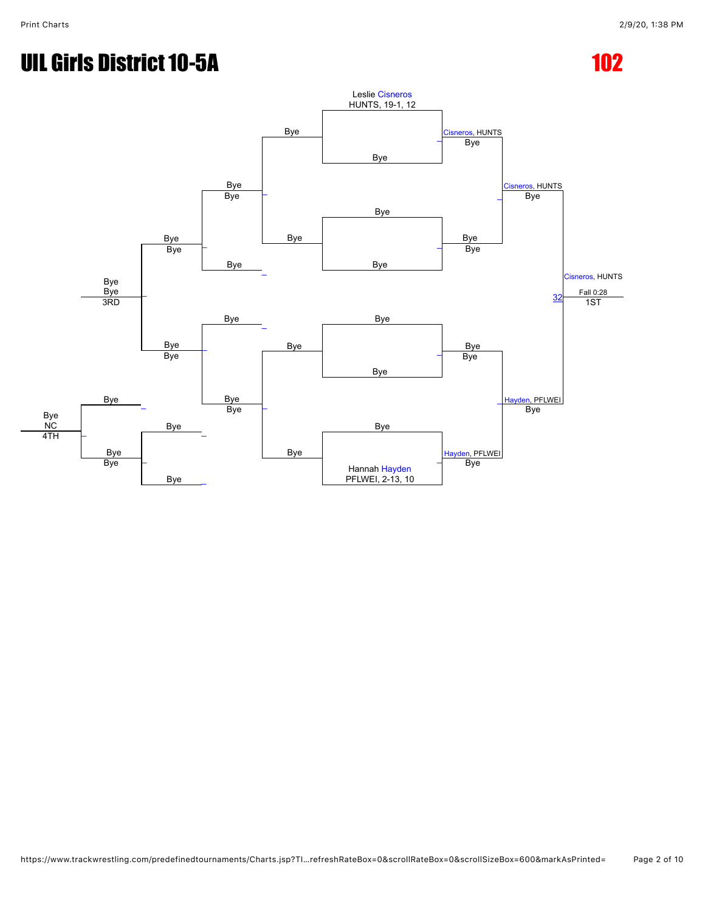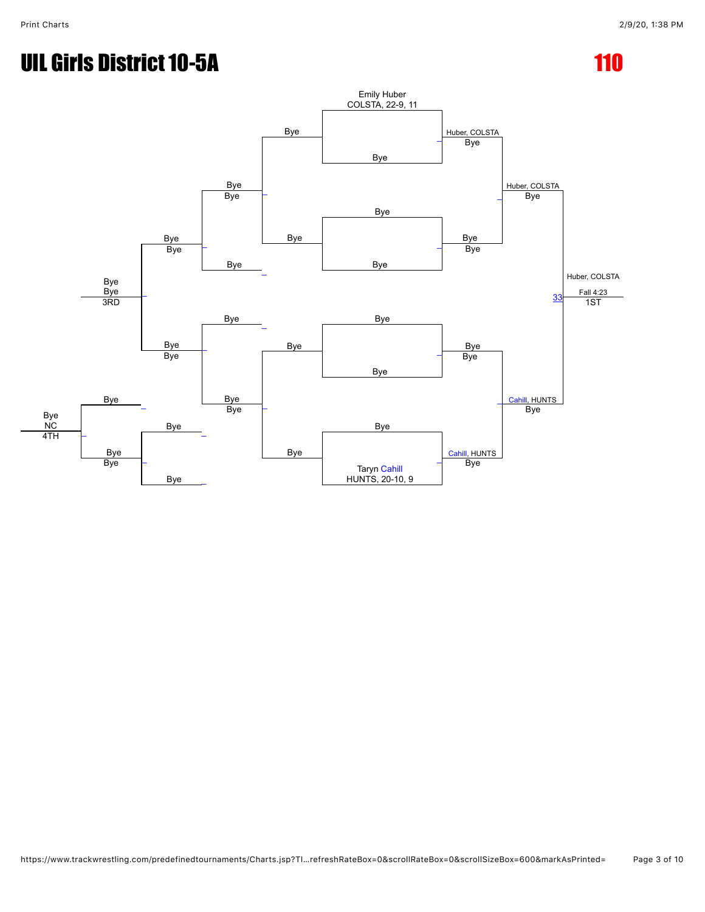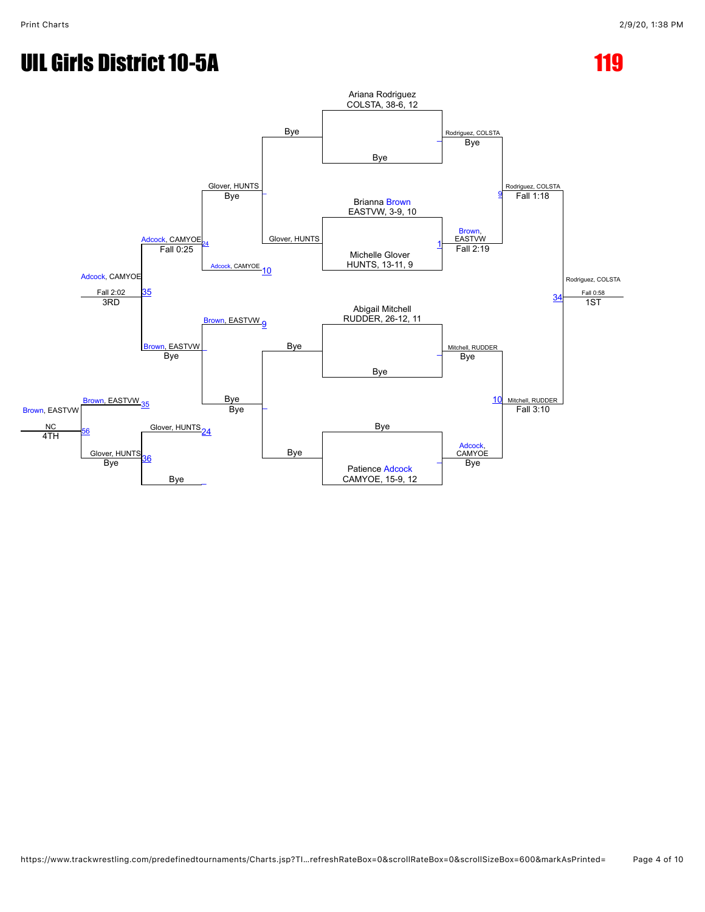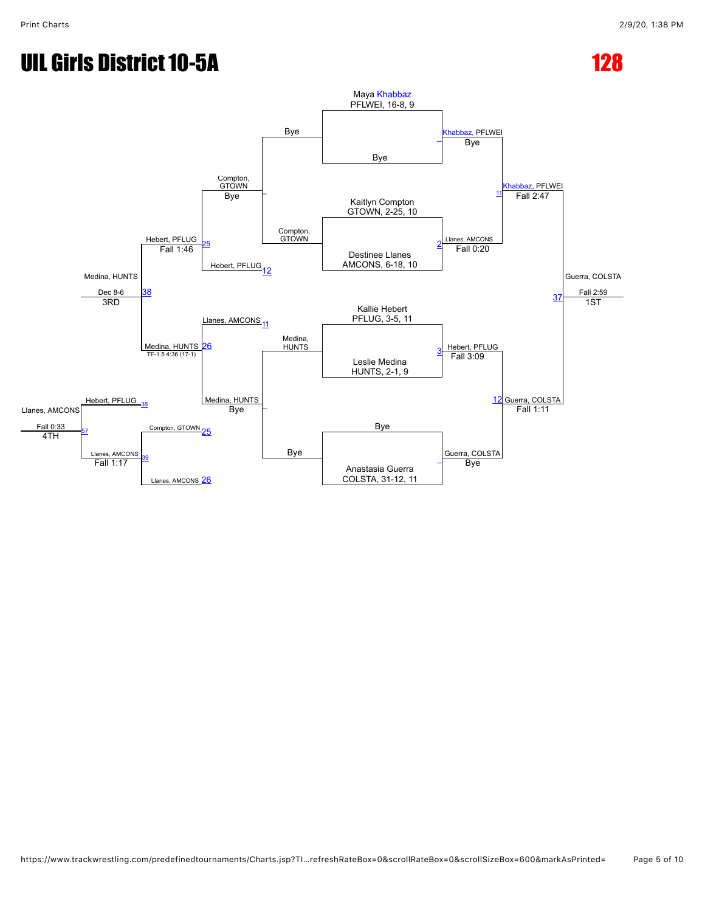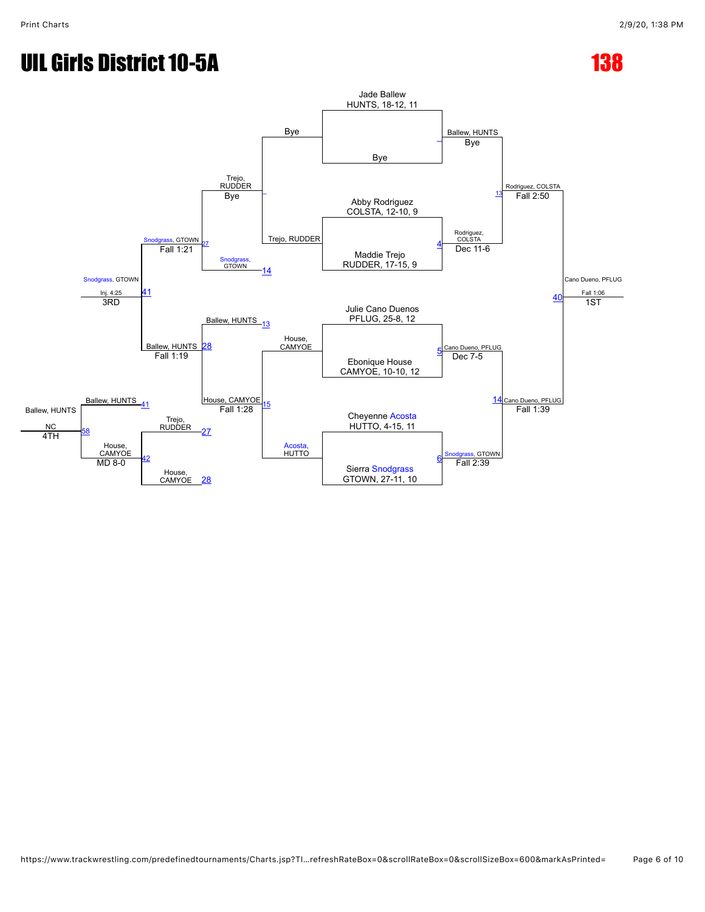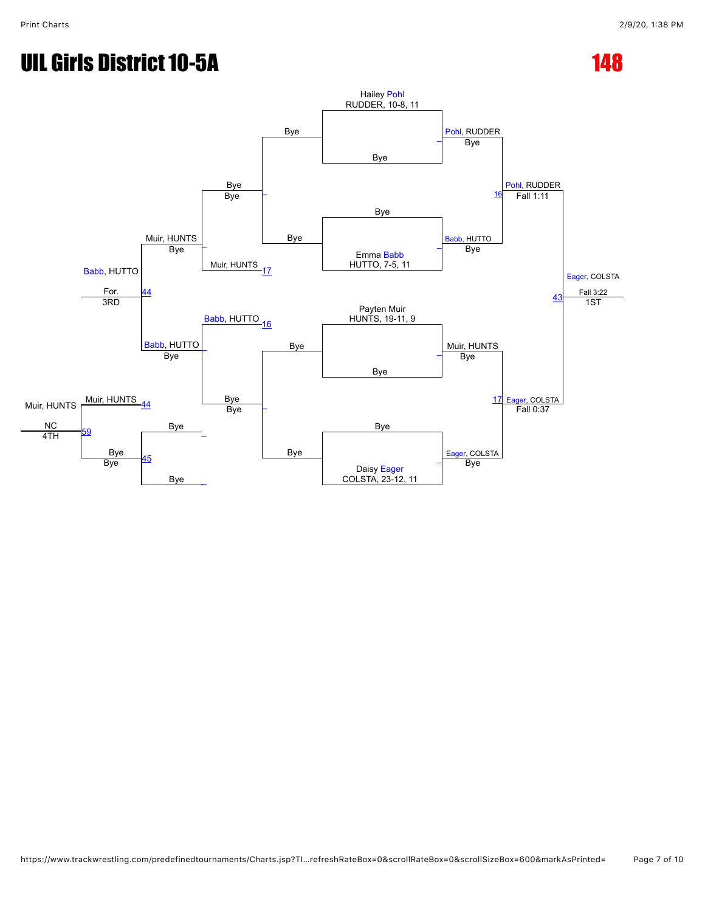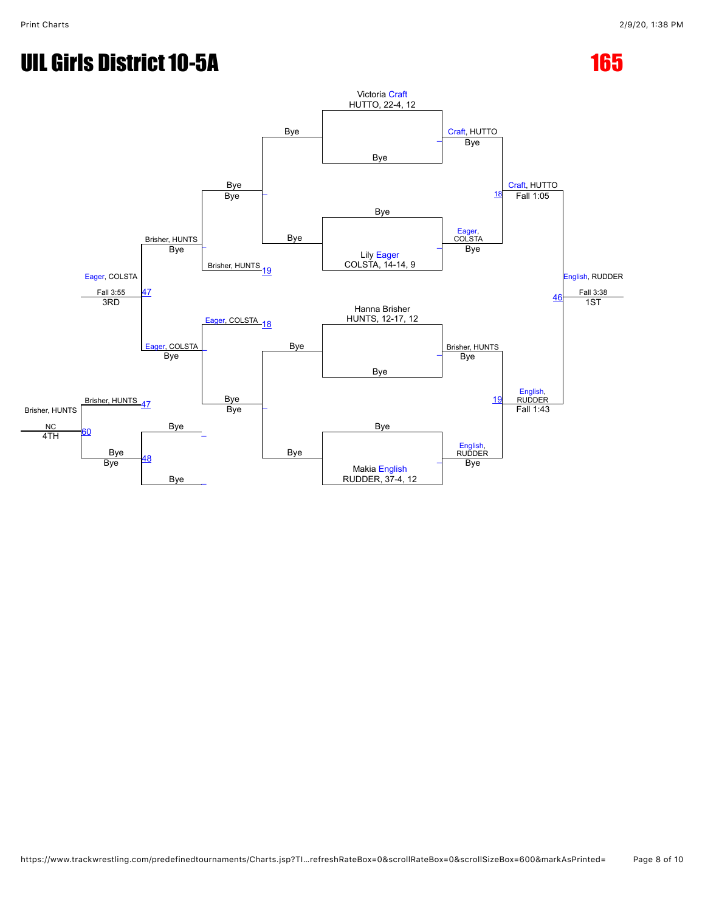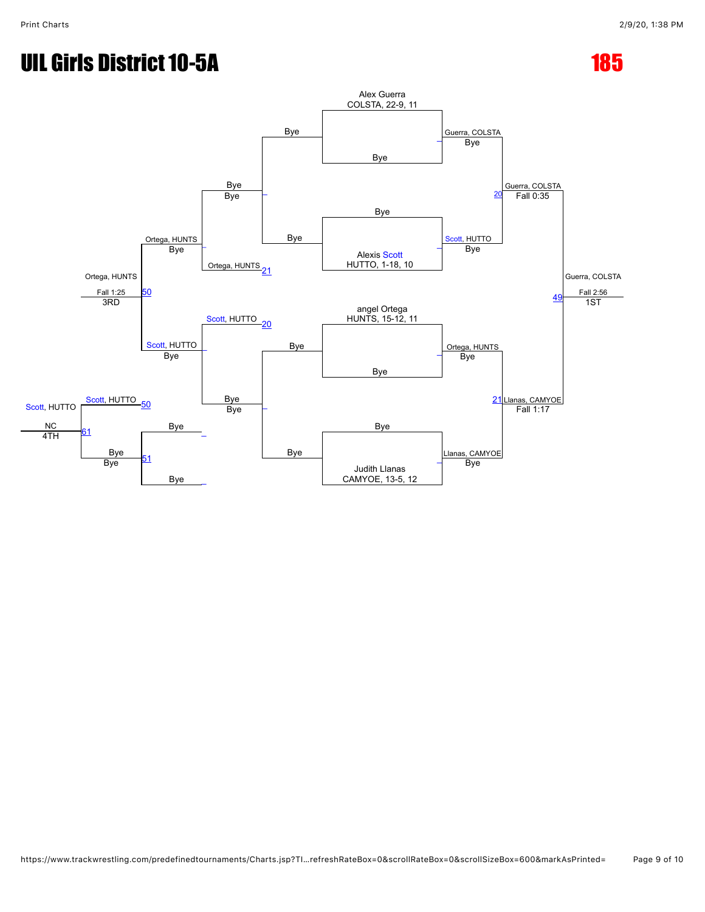